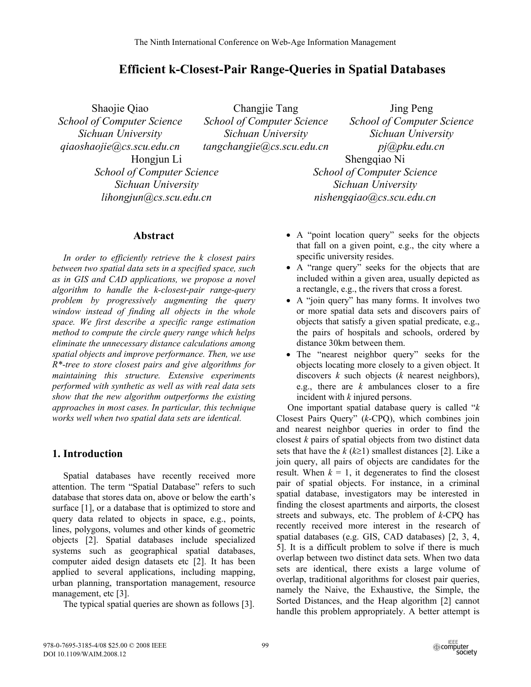# **Efficient k-Closest-Pair Range-Queries in Spatial Databases**

Shaojie Qiao *School of Computer Science Sichuan University qiaoshaojie@cs.scu.edu.cn* Hongjun Li *School of Computer Science Sichuan University lihongjun@cs.scu.edu.cn*

Changjie Tang *School of Computer Science Sichuan University tangchangjie@cs.scu.edu.cn*

Jing Peng *School of Computer Science Sichuan University pj@pku.edu.cn*  Shengqiao Ni *School of Computer Science Sichuan University nishengqiao@cs.scu.edu.cn*

# **Abstract**

*In order to efficiently retrieve the k closest pairs between two spatial data sets in a specified space, such as in GIS and CAD applications, we propose a novel algorithm to handle the k-closest-pair range-query problem by progressively augmenting the query window instead of finding all objects in the whole space. We first describe a specific range estimation method to compute the circle query range which helps eliminate the unnecessary distance calculations among spatial objects and improve performance. Then, we use R\*-tree to store closest pairs and give algorithms for maintaining this structure. Extensive experiments performed with synthetic as well as with real data sets show that the new algorithm outperforms the existing approaches in most cases. In particular, this technique works well when two spatial data sets are identical.* 

# **1. Introduction**

Spatial databases have recently received more attention. The term "Spatial Database" refers to such database that stores data on, above or below the earth's surface [1], or a database that is optimized to store and query data related to objects in space, e.g., points, lines, polygons, volumes and other kinds of geometric objects [2]. Spatial databases include specialized systems such as geographical spatial databases, computer aided design datasets etc [2]. It has been applied to several applications, including mapping, urban planning, transportation management, resource management, etc [3].

The typical spatial queries are shown as follows [3].

- A "point location query" seeks for the objects that fall on a given point, e.g., the city where a specific university resides.
- A "range query" seeks for the objects that are included within a given area, usually depicted as a rectangle, e.g., the rivers that cross a forest.
- A "join query" has many forms. It involves two or more spatial data sets and discovers pairs of objects that satisfy a given spatial predicate, e.g., the pairs of hospitals and schools, ordered by distance 30km between them.
- The "nearest neighbor query" seeks for the objects locating more closely to a given object. It discovers *k* such objects (*k* nearest neighbors), e.g., there are *k* ambulances closer to a fire incident with *k* injured persons.

One important spatial database query is called "*k* Closest Pairs Query" (*k*-CPQ), which combines join and nearest neighbor queries in order to find the closest *k* pairs of spatial objects from two distinct data sets that have the  $k$  ( $k \ge 1$ ) smallest distances [2]. Like a join query, all pairs of objects are candidates for the result. When  $k = 1$ , it degenerates to find the closest pair of spatial objects. For instance, in a criminal spatial database, investigators may be interested in finding the closest apartments and airports, the closest streets and subways, etc. The problem of *k*-CPQ has recently received more interest in the research of spatial databases (e.g. GIS, CAD databases) [2, 3, 4, 5]. It is a difficult problem to solve if there is much overlap between two distinct data sets. When two data sets are identical, there exists a large volume of overlap, traditional algorithms for closest pair queries, namely the Naive, the Exhaustive, the Simple, the Sorted Distances, and the Heap algorithm [2] cannot handle this problem appropriately. A better attempt is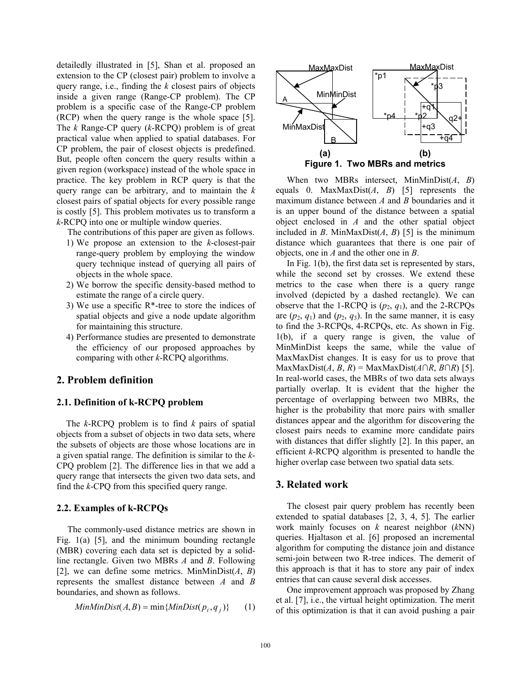detailedly illustrated in [5], Shan et al. proposed an extension to the CP (closest pair) problem to involve a query range, i.e., finding the *k* closest pairs of objects inside a given range (Range-CP problem). The CP problem is a specific case of the Range-CP problem (RCP) when the query range is the whole space [5]. The *k* Range-CP query (*k*-RCPQ) problem is of great practical value when applied to spatial databases. For CP problem, the pair of closest objects is predefined. But, people often concern the query results within a given region (workspace) instead of the whole space in practice. The key problem in RCP query is that the query range can be arbitrary, and to maintain the *k* closest pairs of spatial objects for every possible range is costly [5]. This problem motivates us to transform a *k*-RCPQ into one or multiple window queries.

The contributions of this paper are given as follows.

- 1) We propose an extension to the *k*-closest-pair range-query problem by employing the window query technique instead of querying all pairs of objects in the whole space.
- 2) We borrow the specific density-based method to estimate the range of a circle query.
- 3) We use a specific R\*-tree to store the indices of spatial objects and give a node update algorithm for maintaining this structure.
- 4) Performance studies are presented to demonstrate the efficiency of our proposed approaches by comparing with other *k*-RCPQ algorithms.

#### **2. Problem definition**

#### **2.1. Definition of k-RCPQ problem**

The *k*-RCPQ problem is to find *k* pairs of spatial objects from a subset of objects in two data sets, where the subsets of objects are those whose locations are in a given spatial range. The definition is similar to the *k*-CPQ problem [2]. The difference lies in that we add a query range that intersects the given two data sets, and find the *k*-CPQ from this specified query range.

#### **2.2. Examples of k-RCPQs**

The commonly-used distance metrics are shown in Fig. 1(a) [5], and the minimum bounding rectangle (MBR) covering each data set is depicted by a solidline rectangle. Given two MBRs *A* and *B*. Following [2], we can define some metrics. MinMinDist(*A*, *B*) represents the smallest distance between *A* and *B* boundaries, and shown as follows.

$$
MinMinDist(A, B) = min\{MinDist(p_i, q_j)\} \qquad (1)
$$



When two MBRs intersect, MinMinDist(*A*, *B*) equals 0. MaxMaxDist(*A*, *B*) [5] represents the maximum distance between *A* and *B* boundaries and it is an upper bound of the distance between a spatial object enclosed in *A* and the other spatial object included in *B*. MinMaxDist $(A, B)$  [5] is the minimum distance which guarantees that there is one pair of objects, one in *A* and the other one in *B*.

In Fig. 1(b), the first data set is represented by stars, while the second set by crosses. We extend these metrics to the case when there is a query range involved (depicted by a dashed rectangle). We can observe that the 1-RCPQ is  $(p_2, q_1)$ , and the 2-RCPQs are  $(p_2, q_1)$  and  $(p_2, q_3)$ . In the same manner, it is easy to find the 3-RCPQs, 4-RCPQs, etc. As shown in Fig. 1(b), if a query range is given, the value of MinMinDist keeps the same, while the value of MaxMaxDist changes. It is easy for us to prove that MaxMaxDist(*A*, *B*, *R*) = MaxMaxDist( $A \cap R$ ,  $B \cap R$ ) [5]. In real-world cases, the MBRs of two data sets always partially overlap. It is evident that the higher the percentage of overlapping between two MBRs, the higher is the probability that more pairs with smaller distances appear and the algorithm for discovering the closest pairs needs to examine more candidate pairs with distances that differ slightly [2]. In this paper, an efficient *k*-RCPQ algorithm is presented to handle the higher overlap case between two spatial data sets.

#### **3. Related work**

The closest pair query problem has recently been extended to spatial databases [2, 3, 4, 5]. The earlier work mainly focuses on *k* nearest neighbor (*k*NN) queries. Hjaltason et al. [6] proposed an incremental algorithm for computing the distance join and distance semi-join between two R-tree indices. The demerit of this approach is that it has to store any pair of index entries that can cause several disk accesses.

One improvement approach was proposed by Zhang et al. [7], i.e., the virtual height optimization. The merit of this optimization is that it can avoid pushing a pair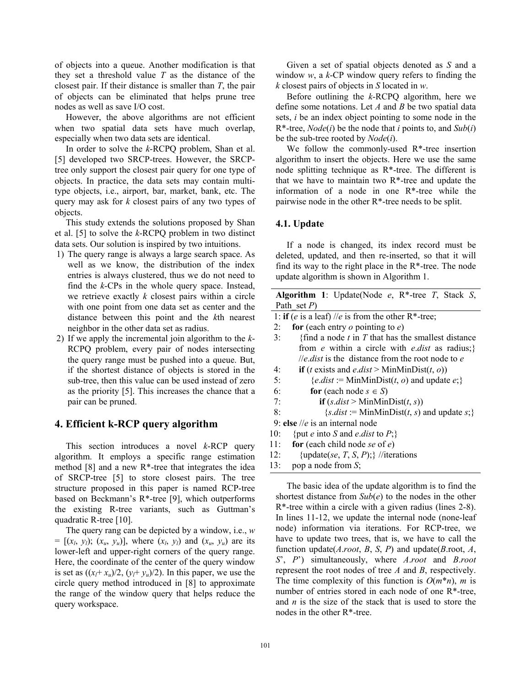of objects into a queue. Another modification is that they set a threshold value *T* as the distance of the closest pair. If their distance is smaller than *T*, the pair of objects can be eliminated that helps prune tree nodes as well as save I/O cost.

However, the above algorithms are not efficient when two spatial data sets have much overlap, especially when two data sets are identical.

In order to solve the *k*-RCPQ problem, Shan et al. [5] developed two SRCP-trees. However, the SRCPtree only support the closest pair query for one type of objects. In practice, the data sets may contain multitype objects, i.e., airport, bar, market, bank, etc. The query may ask for *k* closest pairs of any two types of objects.

This study extends the solutions proposed by Shan et al. [5] to solve the *k*-RCPQ problem in two distinct data sets. Our solution is inspired by two intuitions.

- 1) The query range is always a large search space. As well as we know, the distribution of the index entries is always clustered, thus we do not need to find the *k*-CPs in the whole query space. Instead, we retrieve exactly *k* closest pairs within a circle with one point from one data set as center and the distance between this point and the *k*th nearest neighbor in the other data set as radius.
- 2) If we apply the incremental join algorithm to the *k*-RCPQ problem, every pair of nodes intersecting the query range must be pushed into a queue. But, if the shortest distance of objects is stored in the sub-tree, then this value can be used instead of zero as the priority [5]. This increases the chance that a pair can be pruned.

## **4. Efficient k-RCP query algorithm**

This section introduces a novel *k*-RCP query algorithm. It employs a specific range estimation method  $[8]$  and a new  $R^*$ -tree that integrates the idea of SRCP-tree [5] to store closest pairs. The tree structure proposed in this paper is named RCP-tree based on Beckmann's R\*-tree [9], which outperforms the existing R-tree variants, such as Guttman's quadratic R-tree [10].

The query rang can be depicted by a window, i.e., *w*  $= [(x_l, y_l); (x_u, y_u)]$ , where  $(x_l, y_l)$  and  $(x_u, y_u)$  are its lower-left and upper-right corners of the query range. Here, the coordinate of the center of the query window is set as  $((x_l+x_u)/2, (y_l+y_u)/2)$ . In this paper, we use the circle query method introduced in [8] to approximate the range of the window query that helps reduce the query workspace.

Given a set of spatial objects denoted as *S* and a window *w*, a *k*-CP window query refers to finding the *k* closest pairs of objects in *S* located in *w*.

Before outlining the *k*-RCPQ algorithm, here we define some notations. Let *A* and *B* be two spatial data sets, *i* be an index object pointing to some node in the R\*-tree, *Node*(*i*) be the node that *i* points to, and *Sub*(*i*) be the sub-tree rooted by *Node*(*i*).

We follow the commonly-used R\*-tree insertion algorithm to insert the objects. Here we use the same node splitting technique as R\*-tree. The different is that we have to maintain two  $R^*$ -tree and update the information of a node in one R\*-tree while the pairwise node in the other  $R^*$ -tree needs to be split.

#### **4.1. Update**

If a node is changed, its index record must be deleted, updated, and then re-inserted, so that it will find its way to the right place in the  $R^*$ -tree. The node update algorithm is shown in Algorithm 1.

| <b>Algorithm 1</b> : Update(Node $e$ , R <sup>*</sup> -tree $T$ , Stack S,                               |
|----------------------------------------------------------------------------------------------------------|
| Path set $P$ )                                                                                           |
| 1: if ( <i>e</i> is a leaf) // <i>e</i> is from the other R*-tree;                                       |
| for (each entry $o$ pointing to $e$ )<br>2:                                                              |
| {find a node $t$ in $T$ that has the smallest distance<br>3:                                             |
| from e within a circle with e.dist as radius;}                                                           |
| <i>lle.dist</i> is the distance from the root node to $e$                                                |
| <b>if</b> ( <i>t</i> exists and <i>e.dist</i> > MinMinDist( <i>t</i> , <i>o</i> ))<br>4:                 |
| 5:<br>{ <i>e.dist</i> := MinMinDist( <i>t</i> , <i>o</i> ) and update <i>e</i> ;}                        |
| 6:<br>for (each node $s \in S$ )                                                                         |
| 7:<br><b>if</b> $(s.dist > \text{MinMinDist}(t, s))$                                                     |
| $\{s.dist := \text{MinMinDist}(t, s) \text{ and update } s\}$<br>8:                                      |
| 9: else //e is an internal node                                                                          |
| 10:<br>{put <i>e</i> into <i>S</i> and <i>e.dist</i> to $P$ ;}                                           |
| 11:<br>for (each child node se of $e$ )                                                                  |
| {update(se, T, S, P);} //iterations<br>12:                                                               |
| pop a node from S;<br>13:                                                                                |
| The basic idea of the update algorithm is to find the                                                    |
| shortest distance from $Sub(e)$ to the nodes in the other                                                |
| $R^*$ -tree within a circle with a given radius (lines 2-8).                                             |
| In lines 11-12, we update the internal node (none-leaf                                                   |
| node) information via iterations. For RCP-tree, we                                                       |
| have to update two trees, that is, we have to call the                                                   |
| function update( <i>A.root</i> , <i>B</i> , <i>S</i> , <i>P</i> ) and update( <i>B.root</i> , <i>A</i> , |
| S', P') simultaneously, where A.root and B.root                                                          |
| represent the root nodes of tree $\Lambda$ and $R$ respectively                                          |

represent the root nodes of tree *A* and *B*, respectively. The time complexity of this function is  $O(m^*n)$ , *m* is number of entries stored in each node of one R\*-tree, and *n* is the size of the stack that is used to store the nodes in the other R\*-tree.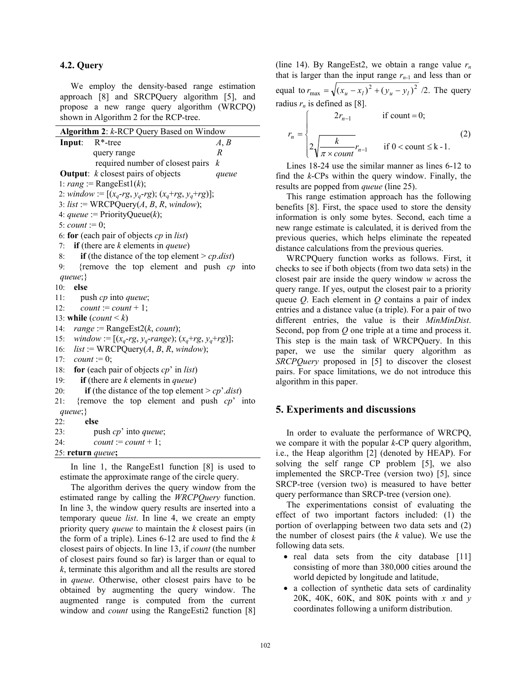#### **4.2. Query**

We employ the density-based range estimation approach [8] and SRCPQuery algorithm [5], and propose a new range query algorithm (WRCPQ) shown in Algorithm 2 for the RCP-tree.

| Algorithm 2: k-RCP Query Based on Window                          |  |
|-------------------------------------------------------------------|--|
| $R^*$ -tree<br>Input:<br>A, B                                     |  |
| $\boldsymbol{R}$<br>query range                                   |  |
| required number of closest pairs<br>k                             |  |
| <b>Output:</b> $k$ closest pairs of objects<br>queue              |  |
| 1: rang := RangeEst1(k);                                          |  |
| 2: window := $[(x_q - rg, y_q - rg); (x_q + rg, y_q + rg)];$      |  |
| 3: list := WRCPQuery $(A, B, R, window)$ ;                        |  |
| 4: <i>queue</i> := PriorityQueue(k);                              |  |
| 5: <i>count</i> := 0;                                             |  |
| 6: for (each pair of objects $cp$ in <i>list</i> )                |  |
| 7: if (there are $k$ elements in <i>queue</i> )                   |  |
| if (the distance of the top element > $cp$ .dist)<br>8:           |  |
| {remove the top element and push $cp$ into<br>9:                  |  |
| queue;                                                            |  |
| 10:<br>else                                                       |  |
| 11:<br>push <i>cp</i> into <i>queue</i> ;                         |  |
| $count := count + 1;$<br>12:                                      |  |
| 13: while $\text{(count} < k)$                                    |  |
| 14: $range := RangeEst2(k, count);$                               |  |
| 15: window := $[(x_q - rg, y_q - range); (x_q + rg, y_q + rg)]$ ; |  |
| 16: $list := WRCPQuery(A, B, R, window);$                         |  |
| 17: <i>count</i> := 0;                                            |  |
| 18: for (each pair of objects $cp'$ in <i>list</i> )              |  |
| if (there are $k$ elements in <i>queue</i> )<br>19:               |  |
| if (the distance of the top element > $cp'$ .dist)<br>20:         |  |
| {remove the top element and push $cp$ into<br>21:                 |  |
| queue;                                                            |  |
| else<br>22:                                                       |  |
| push cp' into queue;<br>23:                                       |  |
| 24:<br>$count := count + 1;$                                      |  |
| 25: return queue;                                                 |  |

In line 1, the RangeEst1 function [8] is used to estimate the approximate range of the circle query.

The algorithm derives the query window from the estimated range by calling the *WRCPQuery* function. In line 3, the window query results are inserted into a temporary queue *list*. In line 4, we create an empty priority query *queue* to maintain the *k* closest pairs (in the form of a triple). Lines 6-12 are used to find the *k* closest pairs of objects. In line 13, if *count* (the number of closest pairs found so far) is larger than or equal to *k*, terminate this algorithm and all the results are stored in *queue*. Otherwise, other closest pairs have to be obtained by augmenting the query window. The augmented range is computed from the current window and *count* using the RangeEsti2 function [8]

(line 14). By RangeEst2, we obtain a range value  $r_n$ that is larger than the input range  $r_{n-1}$  and less than or equal to  $r_{\text{max}} = \sqrt{(x_u - x_l)^2 + (y_u - y_l)^2}$  /2. The query radius  $r_n$  is defined as [8].

$$
r_n = \begin{cases} 2r_{n-1} & \text{if count = 0;}\\ 2\sqrt{\frac{k}{\pi \times count}}r_{n-1} & \text{if 0} < \text{count} \le k-1. \end{cases} \tag{2}
$$

Lines 18-24 use the similar manner as lines 6-12 to find the *k*-CPs within the query window. Finally, the results are popped from *queue* (line 25).

This range estimation approach has the following benefits [8]. First, the space used to store the density information is only some bytes. Second, each time a new range estimate is calculated, it is derived from the previous queries, which helps eliminate the repeated distance calculations from the previous queries.

WRCPQuery function works as follows. First, it checks to see if both objects (from two data sets) in the closest pair are inside the query window *w* across the query range. If yes, output the closest pair to a priority queue *Q*. Each element in *Q* contains a pair of index entries and a distance value (a triple). For a pair of two different entries, the value is their *MinMinDist*. Second, pop from *Q* one triple at a time and process it. This step is the main task of WRCPQuery. In this paper, we use the similar query algorithm as *SRCPQuery* proposed in [5] to discover the closest pairs. For space limitations, we do not introduce this algorithm in this paper.

#### **5. Experiments and discussions**

In order to evaluate the performance of WRCPQ, we compare it with the popular *k*-CP query algorithm, i.e., the Heap algorithm [2] (denoted by HEAP). For solving the self range CP problem [5], we also implemented the SRCP-Tree (version two) [5], since SRCP-tree (version two) is measured to have better query performance than SRCP-tree (version one).

The experimentations consist of evaluating the effect of two important factors included: (1) the portion of overlapping between two data sets and (2) the number of closest pairs (the *k* value). We use the following data sets.

- real data sets from the city database [11] consisting of more than 380,000 cities around the world depicted by longitude and latitude,
- a collection of synthetic data sets of cardinality 20K, 40K, 60K, and 80K points with  $x$  and  $y$ coordinates following a uniform distribution.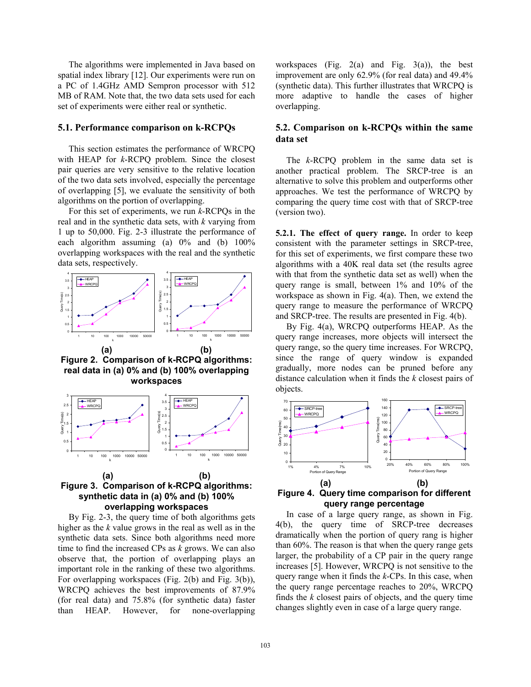The algorithms were implemented in Java based on spatial index library [12]. Our experiments were run on a PC of 1.4GHz AMD Sempron processor with 512 MB of RAM. Note that, the two data sets used for each set of experiments were either real or synthetic.

#### **5.1. Performance comparison on k-RCPQs**

This section estimates the performance of WRCPQ with HEAP for *k*-RCPQ problem. Since the closest pair queries are very sensitive to the relative location of the two data sets involved, especially the percentage of overlapping [5], we evaluate the sensitivity of both algorithms on the portion of overlapping.

For this set of experiments, we run *k*-RCPQs in the real and in the synthetic data sets, with *k* varying from 1 up to 50,000. Fig. 2-3 illustrate the performance of each algorithm assuming (a)  $0\%$  and (b)  $100\%$ overlapping workspaces with the real and the synthetic data sets, respectively.



**Figure 2. Comparison of k-RCPQ algorithms: real data in (a) 0% and (b) 100% overlapping workspaces** 



# **Figure 3. Comparison of k-RCPQ algorithms: synthetic data in (a) 0% and (b) 100% overlapping workspaces**

By Fig. 2-3, the query time of both algorithms gets higher as the *k* value grows in the real as well as in the synthetic data sets. Since both algorithms need more time to find the increased CPs as *k* grows. We can also observe that, the portion of overlapping plays an important role in the ranking of these two algorithms. For overlapping workspaces (Fig. 2(b) and Fig. 3(b)), WRCPQ achieves the best improvements of 87.9% (for real data) and 75.8% (for synthetic data) faster than HEAP. However, for none-overlapping

workspaces (Fig.  $2(a)$  and Fig.  $3(a)$ ), the best improvement are only 62.9% (for real data) and 49.4% (synthetic data). This further illustrates that WRCPQ is more adaptive to handle the cases of higher overlapping.

## **5.2. Comparison on k-RCPQs within the same data set**

The *k*-RCPQ problem in the same data set is another practical problem. The SRCP-tree is an alternative to solve this problem and outperforms other approaches. We test the performance of WRCPQ by comparing the query time cost with that of SRCP-tree (version two).

**5.2.1. The effect of query range.** In order to keep consistent with the parameter settings in SRCP-tree, for this set of experiments, we first compare these two algorithms with a 40K real data set (the results agree with that from the synthetic data set as well) when the query range is small, between 1% and 10% of the workspace as shown in Fig. 4(a). Then, we extend the query range to measure the performance of WRCPQ and SRCP-tree. The results are presented in Fig. 4(b).

By Fig. 4(a), WRCPQ outperforms HEAP. As the query range increases, more objects will intersect the query range, so the query time increases. For WRCPQ, since the range of query window is expanded gradually, more nodes can be pruned before any distance calculation when it finds the *k* closest pairs of objects.



**Figure 4. Query time comparison for different query range percentage** 

In case of a large query range, as shown in Fig. 4(b), the query time of SRCP-tree decreases dramatically when the portion of query rang is higher than 60%. The reason is that when the query range gets larger, the probability of a CP pair in the query range increases [5]. However, WRCPQ is not sensitive to the query range when it finds the *k*-CPs. In this case, when the query range percentage reaches to 20%, WRCPQ finds the *k* closest pairs of objects, and the query time changes slightly even in case of a large query range.